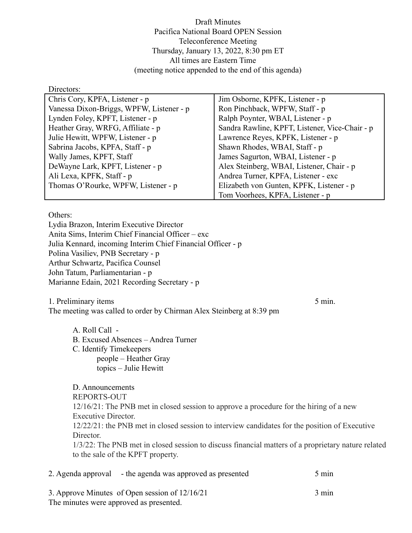Draft Minutes Pacifica National Board OPEN Session Teleconference Meeting Thursday, January 13, 2022, 8:30 pm ET All times are Eastern Time (meeting notice appended to the end of this agenda)

Directors:

| Chris Cory, KPFA, Listener - p           | Jim Osborne, KPFK, Listener - p                |  |
|------------------------------------------|------------------------------------------------|--|
| Vanessa Dixon-Briggs, WPFW, Listener - p | Ron Pinchback, WPFW, Staff - p                 |  |
| Lynden Foley, KPFT, Listener - p         | Ralph Poynter, WBAI, Listener - p              |  |
| Heather Gray, WRFG, Affiliate - p        | Sandra Rawline, KPFT, Listener, Vice-Chair - p |  |
| Julie Hewitt, WPFW, Listener - p         | Lawrence Reyes, KPFK, Listener - p             |  |
| Sabrina Jacobs, KPFA, Staff - p          | Shawn Rhodes, WBAI, Staff - p                  |  |
| Wally James, KPFT, Staff                 | James Sagurton, WBAI, Listener - p             |  |
| DeWayne Lark, KPFT, Listener - p         | Alex Steinberg, WBAI, Listener, Chair - p      |  |
| Ali Lexa, KPFK, Staff - p                | Andrea Turner, KPFA, Listener - exc            |  |
| Thomas O'Rourke, WPFW, Listener - p      | Elizabeth von Gunten, KPFK, Listener - p       |  |
|                                          | Tom Voorhees, KPFA, Listener - p               |  |

Others:

Lydia Brazon, Interim Executive Director Anita Sims, Interim Chief Financial Officer – exc Julia Kennard, incoming Interim Chief Financial Officer - p Polina Vasiliev, PNB Secretary - p Arthur Schwartz, Pacifica Counsel John Tatum, Parliamentarian - p Marianne Edain, 2021 Recording Secretary - p

1. Preliminary items 5 min. The meeting was called to order by Chirman Alex Steinberg at 8:39 pm

A. Roll Call - B. Excused Absences – Andrea Turner C. Identify Timekeepers people – Heather Gray topics – Julie Hewitt

D. Announcements REPORTS-OUT 12/16/21: The PNB met in closed session to approve a procedure for the hiring of a new Executive Director. 12/22/21: the PNB met in closed session to interview candidates for the position of Executive Director 1/3/22: The PNB met in closed session to discuss financial matters of a proprietary nature related to the sale of the KPFT property.

| 2. Agenda approval – the agenda was approved as presented | $5 \text{ min}$ |
|-----------------------------------------------------------|-----------------|
| 3. Approve Minutes of Open session of 12/16/21            | $3 \text{ min}$ |
| The minutes were approved as presented.                   |                 |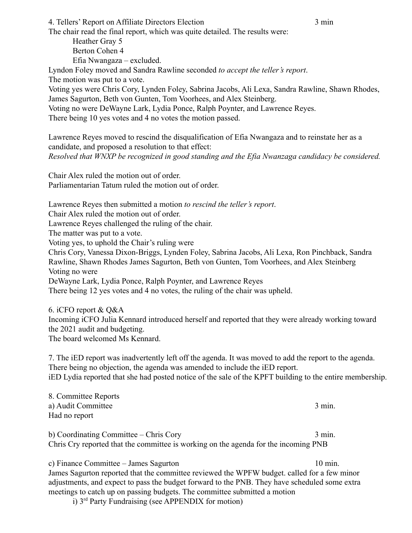The chair read the final report, which was quite detailed. The results were: Heather Gray 5 Berton Cohen 4 Efia Nwangaza – excluded. Lyndon Foley moved and Sandra Rawline seconded *to accept the teller's report*. The motion was put to a vote. Voting yes were Chris Cory, Lynden Foley, Sabrina Jacobs, Ali Lexa, Sandra Rawline, Shawn Rhodes, James Sagurton, Beth von Gunten, Tom Voorhees, and Alex Steinberg. Voting no were DeWayne Lark, Lydia Ponce, Ralph Poynter, and Lawrence Reyes. There being 10 yes votes and 4 no votes the motion passed.

Lawrence Reyes moved to rescind the disqualification of Efia Nwangaza and to reinstate her as a candidate, and proposed a resolution to that effect: *Resolved that WNXP be recognized in good standing and the Efia Nwanzaga candidacy be considered.*

Chair Alex ruled the motion out of order. Parliamentarian Tatum ruled the motion out of order.

Lawrence Reyes then submitted a motion *to rescind the teller's report*.

Chair Alex ruled the motion out of order.

Lawrence Reyes challenged the ruling of the chair.

The matter was put to a vote.

Voting yes, to uphold the Chair's ruling were

Chris Cory, Vanessa Dixon-Briggs, Lynden Foley, Sabrina Jacobs, Ali Lexa, Ron Pinchback, Sandra Rawline, Shawn Rhodes James Sagurton, Beth von Gunten, Tom Voorhees, and Alex Steinberg Voting no were

DeWayne Lark, Lydia Ponce, Ralph Poynter, and Lawrence Reyes

There being 12 yes votes and 4 no votes, the ruling of the chair was upheld.

6. iCFO report & Q&A Incoming iCFO Julia Kennard introduced herself and reported that they were already working toward the 2021 audit and budgeting. The board welcomed Ms Kennard.

7. The iED report was inadvertently left off the agenda. It was moved to add the report to the agenda. There being no objection, the agenda was amended to include the iED report. iED Lydia reported that she had posted notice of the sale of the KPFT building to the entire membership.

8. Committee Reports a) Audit Committee 3 min. Had no report

b) Coordinating Committee – Chris Cory 3 min. Chris Cry reported that the committee is working on the agenda for the incoming PNB

c) Finance Committee – James Sagurton 10 min. James Sagurton reported that the committee reviewed the WPFW budget. called for a few minor

adjustments, and expect to pass the budget forward to the PNB. They have scheduled some extra meetings to catch up on passing budgets. The committee submitted a motion

i) 3rd Party Fundraising (see APPENDIX for motion)

4. Tellers' Report on Affiliate Directors Election 3 min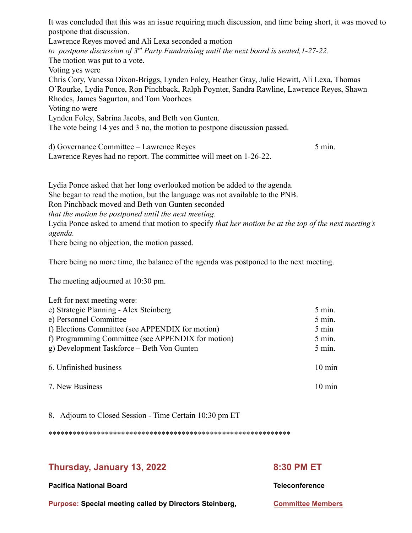It was concluded that this was an issue requiring much discussion, and time being short, it was moved to postpone that discussion. Lawrence Reyes moved and Ali Lexa seconded a motion *to postpone discussion of 3rd Party Fundraising until the next board is seated,1-27-22.* The motion was put to a vote. Voting yes were Chris Cory, Vanessa Dixon-Briggs, Lynden Foley, Heather Gray, Julie Hewitt, Ali Lexa, Thomas O'Rourke, Lydia Ponce, Ron Pinchback, Ralph Poynter, Sandra Rawline, Lawrence Reyes, Shawn Rhodes, James Sagurton, and Tom Voorhees Voting no were Lynden Foley, Sabrina Jacobs, and Beth von Gunten. The vote being 14 yes and 3 no, the motion to postpone discussion passed.

d) Governance Committee – Lawrence Reyes 5 min.

Lawrence Reyes had no report. The committee will meet on 1-26-22.

Lydia Ponce asked that her long overlooked motion be added to the agenda. She began to read the motion, but the language was not available to the PNB.

Ron Pinchback moved and Beth von Gunten seconded

*that the motion be postponed until the next meeting*.

Lydia Ponce asked to amend that motion to specify *that her motion be at the top of the next meeting's agenda.*

There being no objection, the motion passed.

There being no more time, the balance of the agenda was postponed to the next meeting.

The meeting adjourned at 10:30 pm.

| Left for next meeting were:                        |                  |
|----------------------------------------------------|------------------|
| e) Strategic Planning - Alex Steinberg             | $5$ min.         |
| e) Personnel Committee –                           | $5$ min.         |
| f) Elections Committee (see APPENDIX for motion)   | 5 min            |
| f) Programming Committee (see APPENDIX for motion) | $5$ min.         |
| g) Development Taskforce – Beth Von Gunten         | $5$ min.         |
| 6. Unfinished business                             | $10 \text{ min}$ |
| 7. New Business                                    | $10 \text{ min}$ |

8. Adjourn to Closed Session - Time Certain 10:30 pm ET

\*\*\*\*\*\*\*\*\*\*\*\*\*\*\*\*\*\*\*\*\*\*\*\*\*\*\*\*\*\*\*\*\*\*\*\*\*\*\*\*\*\*\*\*\*\*\*\*\*\*\*\*\*\*\*\*\*\*\*\*

# **Thursday, January 13, 2022 8:30 PM ET**

**Pacifica National Board Teleconference**

**Purpose: Special meeting called by Directors Steinberg, [Committee Members](https://kpftx.org/pnbmem/public_cm_list.php?id=5&back=calendar.php)**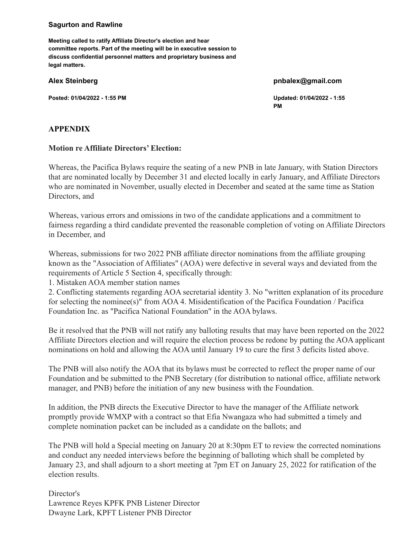#### **Sagurton and Rawline**

**Meeting called to ratify Affiliate Director's election and hear committee reports. Part of the meeting will be in executive session to discuss confidential personnel matters and proprietary business and legal matters.**

**Posted: 01/04/2022 - 1:55 PM Updated: 01/04/2022 - 1:55**

#### **Alex Steinberg pnbalex@gmail.com**

**PM**

## **APPENDIX**

### **Motion re Affiliate Directors' Election:**

Whereas, the Pacifica Bylaws require the seating of a new PNB in late January, with Station Directors that are nominated locally by December 31 and elected locally in early January, and Affiliate Directors who are nominated in November, usually elected in December and seated at the same time as Station Directors, and

Whereas, various errors and omissions in two of the candidate applications and a commitment to fairness regarding a third candidate prevented the reasonable completion of voting on Affiliate Directors in December, and

Whereas, submissions for two 2022 PNB affiliate director nominations from the affiliate grouping known as the "Association of Affiliates" (AOA) were defective in several ways and deviated from the requirements of Article 5 Section 4, specifically through:

1. Mistaken AOA member station names

2. Conflicting statements regarding AOA secretarial identity 3. No "written explanation of its procedure for selecting the nominee(s)" from AOA 4. Misidentification of the Pacifica Foundation / Pacifica Foundation Inc. as "Pacifica National Foundation" in the AOA bylaws.

Be it resolved that the PNB will not ratify any balloting results that may have been reported on the 2022 Affiliate Directors election and will require the election process be redone by putting the AOA applicant nominations on hold and allowing the AOA until January 19 to cure the first 3 deficits listed above.

The PNB will also notify the AOA that its bylaws must be corrected to reflect the proper name of our Foundation and be submitted to the PNB Secretary (for distribution to national office, affiliate network manager, and PNB) before the initiation of any new business with the Foundation.

In addition, the PNB directs the Executive Director to have the manager of the Affiliate network promptly provide WMXP with a contract so that Efia Nwangaza who had submitted a timely and complete nomination packet can be included as a candidate on the ballots; and

The PNB will hold a Special meeting on January 20 at 8:30pm ET to review the corrected nominations and conduct any needed interviews before the beginning of balloting which shall be completed by January 23, and shall adjourn to a short meeting at 7pm ET on January 25, 2022 for ratification of the election results.

Director's Lawrence Reyes KPFK PNB Listener Director Dwayne Lark, KPFT Listener PNB Director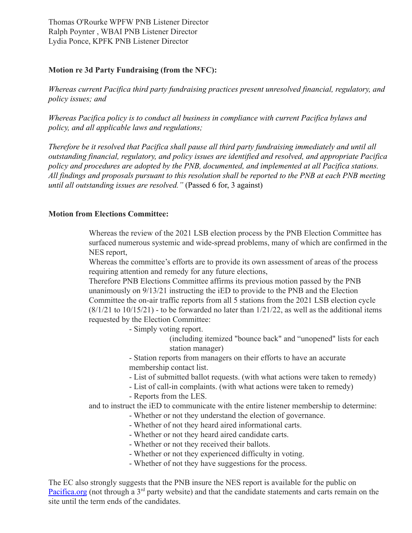Thomas O'Rourke WPFW PNB Listener Director Ralph Poynter , WBAI PNB Listener Director Lydia Ponce, KPFK PNB Listener Director

# **Motion re 3d Party Fundraising (from the NFC):**

*Whereas current Pacifica third party fundraising practices present unresolved financial, regulatory, and policy issues; and*

*Whereas Pacifica policy is to conduct all business in compliance with current Pacifica bylaws and policy, and all applicable laws and regulations;*

*Therefore be it resolved that Pacifica shall pause all third party fundraising immediately and until all outstanding financial, regulatory, and policy issues are identified and resolved, and appropriate Pacifica policy and procedures are adopted by the PNB, documented, and implemented at all Pacifica stations. All findings and proposals pursuant to this resolution shall be reported to the PNB at each PNB meeting until all outstanding issues are resolved."* (Passed 6 for, 3 against)

# **Motion from Elections Committee:**

Whereas the review of the 2021 LSB election process by the PNB Election Committee has surfaced numerous systemic and wide-spread problems, many of which are confirmed in the NES report,

Whereas the committee's efforts are to provide its own assessment of areas of the process requiring attention and remedy for any future elections,

Therefore PNB Elections Committee affirms its previous motion passed by the PNB unanimously on 9/13/21 instructing the iED to provide to the PNB and the Election Committee the on-air traffic reports from all 5 stations from the 2021 LSB election cycle  $(8/1/21$  to  $10/15/21)$  - to be forwarded no later than  $1/21/22$ , as well as the additional items requested by the Election Committee:

- Simply voting report.

(including itemized "bounce back" and "unopened" lists for each station manager)

- Station reports from managers on their efforts to have an accurate membership contact list.

- List of submitted ballot requests. (with what actions were taken to remedy)

- List of call-in complaints. (with what actions were taken to remedy)
- Reports from the LES.

and to instruct the iED to communicate with the entire listener membership to determine:

- Whether or not they understand the election of governance.
- Whether of not they heard aired informational carts.
- Whether or not they heard aired candidate carts.
- Whether or not they received their ballots.
- Whether or not they experienced difficulty in voting.
- Whether of not they have suggestions for the process.

The EC also strongly suggests that the PNB insure the NES report is available for the public on [Pacifica.org](http://pacifica.org/) (not through a  $3<sup>rd</sup>$  party website) and that the candidate statements and carts remain on the site until the term ends of the candidates.